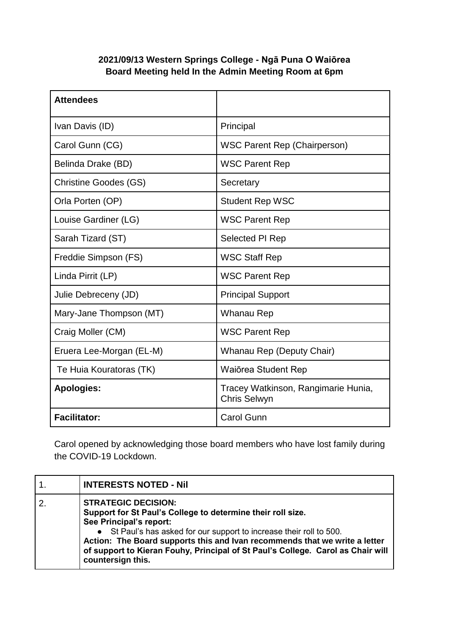## **2021/09/13 Western Springs College - Ngā Puna O Waiōrea Board Meeting held In the Admin Meeting Room at 6pm**

| <b>Attendees</b>             |                                                            |
|------------------------------|------------------------------------------------------------|
| Ivan Davis (ID)              | Principal                                                  |
| Carol Gunn (CG)              | <b>WSC Parent Rep (Chairperson)</b>                        |
| Belinda Drake (BD)           | <b>WSC Parent Rep</b>                                      |
| <b>Christine Goodes (GS)</b> | Secretary                                                  |
| Orla Porten (OP)             | <b>Student Rep WSC</b>                                     |
| Louise Gardiner (LG)         | <b>WSC Parent Rep</b>                                      |
| Sarah Tizard (ST)            | Selected PI Rep                                            |
| Freddie Simpson (FS)         | <b>WSC Staff Rep</b>                                       |
| Linda Pirrit (LP)            | <b>WSC Parent Rep</b>                                      |
| Julie Debreceny (JD)         | <b>Principal Support</b>                                   |
| Mary-Jane Thompson (MT)      | Whanau Rep                                                 |
| Craig Moller (CM)            | <b>WSC Parent Rep</b>                                      |
| Eruera Lee-Morgan (EL-M)     | Whanau Rep (Deputy Chair)                                  |
| Te Huia Kouratoras (TK)      | Waiorea Student Rep                                        |
| <b>Apologies:</b>            | Tracey Watkinson, Rangimarie Hunia,<br><b>Chris Selwyn</b> |
| <b>Facilitator:</b>          | <b>Carol Gunn</b>                                          |

Carol opened by acknowledging those board members who have lost family during the COVID-19 Lockdown.

| <b>INTERESTS NOTED - Nil</b>                                                                                                                                                                                                                                                                                                                                                       |
|------------------------------------------------------------------------------------------------------------------------------------------------------------------------------------------------------------------------------------------------------------------------------------------------------------------------------------------------------------------------------------|
| <b>STRATEGIC DECISION:</b><br>Support for St Paul's College to determine their roll size.<br>See Principal's report:<br>• St Paul's has asked for our support to increase their roll to 500.<br>Action: The Board supports this and Ivan recommends that we write a letter<br>of support to Kieran Fouhy, Principal of St Paul's College. Carol as Chair will<br>countersign this. |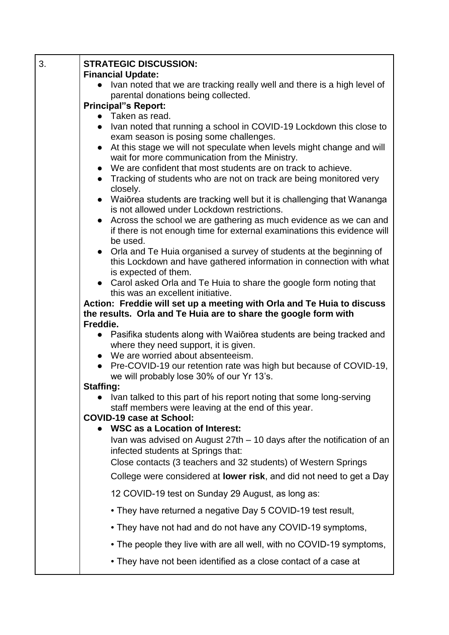| 3. | <b>STRATEGIC DISCUSSION:</b><br><b>Financial Update:</b>                                                                                                       |
|----|----------------------------------------------------------------------------------------------------------------------------------------------------------------|
|    | Ivan noted that we are tracking really well and there is a high level of                                                                                       |
|    | parental donations being collected.                                                                                                                            |
|    | <b>Principal"s Report:</b><br>• Taken as read.                                                                                                                 |
|    | Ivan noted that running a school in COVID-19 Lockdown this close to<br>exam season is posing some challenges.                                                  |
|    | At this stage we will not speculate when levels might change and will<br>wait for more communication from the Ministry.                                        |
|    | • We are confident that most students are on track to achieve.                                                                                                 |
|    | • Tracking of students who are not on track are being monitored very<br>closely.                                                                               |
|    | • Waiōrea students are tracking well but it is challenging that Wananga<br>is not allowed under Lockdown restrictions.                                         |
|    | • Across the school we are gathering as much evidence as we can and<br>if there is not enough time for external examinations this evidence will                |
|    | be used.<br>• Orla and Te Huia organised a survey of students at the beginning of                                                                              |
|    | this Lockdown and have gathered information in connection with what<br>is expected of them.                                                                    |
|    | • Carol asked Orla and Te Huia to share the google form noting that                                                                                            |
|    | this was an excellent initiative.                                                                                                                              |
|    | Action: Freddie will set up a meeting with Orla and Te Huia to discuss<br>the results. Orla and Te Huia are to share the google form with                      |
|    | Freddie.                                                                                                                                                       |
|    | • Pasifika students along with Waiorea students are being tracked and                                                                                          |
|    | where they need support, it is given.<br>• We are worried about absenteeism.                                                                                   |
|    | Pre-COVID-19 our retention rate was high but because of COVID-19,                                                                                              |
|    | we will probably lose 30% of our Yr 13's.                                                                                                                      |
|    | <b>Staffing:</b>                                                                                                                                               |
|    | Ivan talked to this part of his report noting that some long-serving<br>staff members were leaving at the end of this year.<br><b>COVID-19 case at School:</b> |
|    | • WSC as a Location of Interest:                                                                                                                               |
|    | Ivan was advised on August 27th – 10 days after the notification of an<br>infected students at Springs that:                                                   |
|    | Close contacts (3 teachers and 32 students) of Western Springs                                                                                                 |
|    | College were considered at <b>lower risk</b> , and did not need to get a Day                                                                                   |
|    | 12 COVID-19 test on Sunday 29 August, as long as:                                                                                                              |
|    | • They have returned a negative Day 5 COVID-19 test result,                                                                                                    |
|    | • They have not had and do not have any COVID-19 symptoms,                                                                                                     |
|    | • The people they live with are all well, with no COVID-19 symptoms,                                                                                           |
|    | • They have not been identified as a close contact of a case at                                                                                                |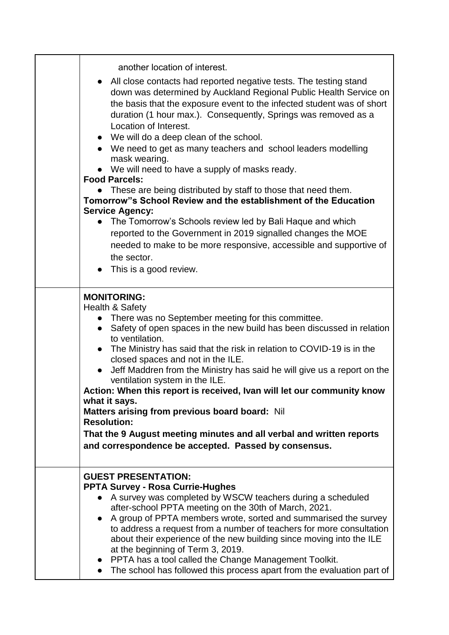| another location of interest.<br>• All close contacts had reported negative tests. The testing stand<br>down was determined by Auckland Regional Public Health Service on<br>the basis that the exposure event to the infected student was of short<br>duration (1 hour max.). Consequently, Springs was removed as a<br>Location of Interest.<br>• We will do a deep clean of the school.<br>• We need to get as many teachers and school leaders modelling<br>mask wearing.<br>We will need to have a supply of masks ready.<br><b>Food Parcels:</b><br>These are being distributed by staff to those that need them.<br>Tomorrow"s School Review and the establishment of the Education<br><b>Service Agency:</b><br>The Tomorrow's Schools review led by Bali Haque and which<br>reported to the Government in 2019 signalled changes the MOE<br>needed to make to be more responsive, accessible and supportive of<br>the sector.<br>This is a good review. |
|------------------------------------------------------------------------------------------------------------------------------------------------------------------------------------------------------------------------------------------------------------------------------------------------------------------------------------------------------------------------------------------------------------------------------------------------------------------------------------------------------------------------------------------------------------------------------------------------------------------------------------------------------------------------------------------------------------------------------------------------------------------------------------------------------------------------------------------------------------------------------------------------------------------------------------------------------------------|
| <b>MONITORING:</b><br><b>Health &amp; Safety</b><br>There was no September meeting for this committee.<br>• Safety of open spaces in the new build has been discussed in relation<br>to ventilation.<br>The Ministry has said that the risk in relation to COVID-19 is in the<br>$\bullet$<br>closed spaces and not in the ILE.<br>Jeff Maddren from the Ministry has said he will give us a report on the<br>ventilation system in the ILE.<br>Action: When this report is received, Ivan will let our community know<br>what it says.<br>Matters arising from previous board board: Nil<br><b>Resolution:</b><br>That the 9 August meeting minutes and all verbal and written reports<br>and correspondence be accepted. Passed by consensus.                                                                                                                                                                                                                  |
| <b>GUEST PRESENTATION:</b><br><b>PPTA Survey - Rosa Currie-Hughes</b><br>A survey was completed by WSCW teachers during a scheduled<br>after-school PPTA meeting on the 30th of March, 2021.<br>• A group of PPTA members wrote, sorted and summarised the survey<br>to address a request from a number of teachers for more consultation<br>about their experience of the new building since moving into the ILE<br>at the beginning of Term 3, 2019.<br>• PPTA has a tool called the Change Management Toolkit.<br>The school has followed this process apart from the evaluation part of                                                                                                                                                                                                                                                                                                                                                                      |